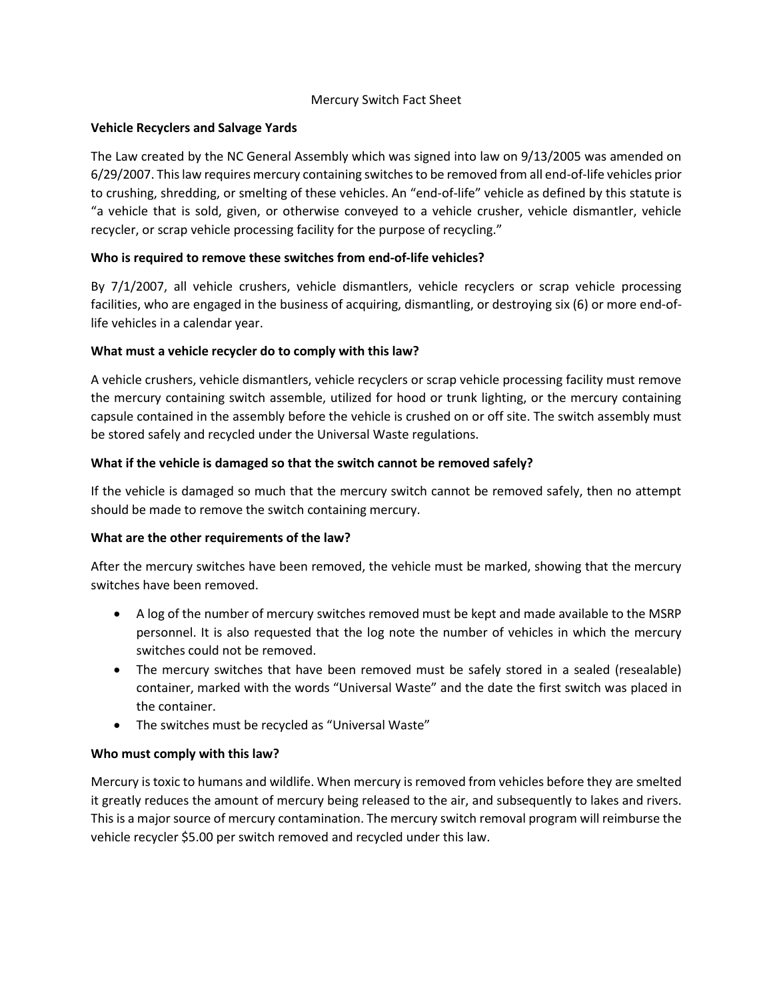## Mercury Switch Fact Sheet

## **Vehicle Recyclers and Salvage Yards**

The Law created by the NC General Assembly which was signed into law on 9/13/2005 was amended on 6/29/2007. This law requires mercury containing switches to be removed from all end-of-life vehicles prior to crushing, shredding, or smelting of these vehicles. An "end-of-life" vehicle as defined by this statute is "a vehicle that is sold, given, or otherwise conveyed to a vehicle crusher, vehicle dismantler, vehicle recycler, or scrap vehicle processing facility for the purpose of recycling."

## **Who is required to remove these switches from end-of-life vehicles?**

By 7/1/2007, all vehicle crushers, vehicle dismantlers, vehicle recyclers or scrap vehicle processing facilities, who are engaged in the business of acquiring, dismantling, or destroying six (6) or more end-oflife vehicles in a calendar year.

## **What must a vehicle recycler do to comply with this law?**

A vehicle crushers, vehicle dismantlers, vehicle recyclers or scrap vehicle processing facility must remove the mercury containing switch assemble, utilized for hood or trunk lighting, or the mercury containing capsule contained in the assembly before the vehicle is crushed on or off site. The switch assembly must be stored safely and recycled under the Universal Waste regulations.

## **What if the vehicle is damaged so that the switch cannot be removed safely?**

If the vehicle is damaged so much that the mercury switch cannot be removed safely, then no attempt should be made to remove the switch containing mercury.

### **What are the other requirements of the law?**

After the mercury switches have been removed, the vehicle must be marked, showing that the mercury switches have been removed.

- A log of the number of mercury switches removed must be kept and made available to the MSRP personnel. It is also requested that the log note the number of vehicles in which the mercury switches could not be removed.
- The mercury switches that have been removed must be safely stored in a sealed (resealable) container, marked with the words "Universal Waste" and the date the first switch was placed in the container.
- The switches must be recycled as "Universal Waste"

# **Who must comply with this law?**

Mercury is toxic to humans and wildlife. When mercury is removed from vehicles before they are smelted it greatly reduces the amount of mercury being released to the air, and subsequently to lakes and rivers. This is a major source of mercury contamination. The mercury switch removal program will reimburse the vehicle recycler \$5.00 per switch removed and recycled under this law.